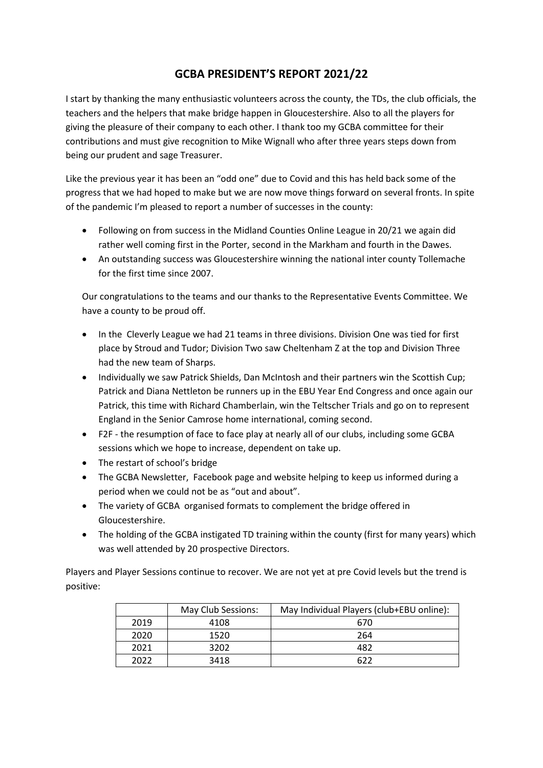## **GCBA PRESIDENT'S REPORT 2021/22**

I start by thanking the many enthusiastic volunteers across the county, the TDs, the club officials, the teachers and the helpers that make bridge happen in Gloucestershire. Also to all the players for giving the pleasure of their company to each other. I thank too my GCBA committee for their contributions and must give recognition to Mike Wignall who after three years steps down from being our prudent and sage Treasurer.

Like the previous year it has been an "odd one" due to Covid and this has held back some of the progress that we had hoped to make but we are now move things forward on several fronts. In spite of the pandemic I'm pleased to report a number of successes in the county:

- Following on from success in the Midland Counties Online League in 20/21 we again did rather well coming first in the Porter, second in the Markham and fourth in the Dawes.
- An outstanding success was Gloucestershire winning the national inter county Tollemache for the first time since 2007.

Our congratulations to the teams and our thanks to the Representative Events Committee. We have a county to be proud off.

- In the Cleverly League we had 21 teams in three divisions. Division One was tied for first place by Stroud and Tudor; Division Two saw Cheltenham Z at the top and Division Three had the new team of Sharps.
- Individually we saw Patrick Shields, Dan McIntosh and their partners win the Scottish Cup; Patrick and Diana Nettleton be runners up in the EBU Year End Congress and once again our Patrick, this time with Richard Chamberlain, win the Teltscher Trials and go on to represent England in the Senior Camrose home international, coming second.
- F2F the resumption of face to face play at nearly all of our clubs, including some GCBA sessions which we hope to increase, dependent on take up.
- The restart of school's bridge
- The GCBA Newsletter, Facebook page and website helping to keep us informed during a period when we could not be as "out and about".
- The variety of GCBA organised formats to complement the bridge offered in Gloucestershire.
- The holding of the GCBA instigated TD training within the county (first for many years) which was well attended by 20 prospective Directors.

Players and Player Sessions continue to recover. We are not yet at pre Covid levels but the trend is positive:

|      | May Club Sessions: | May Individual Players (club+EBU online): |
|------|--------------------|-------------------------------------------|
| 2019 | 4108               | 670                                       |
| 2020 | 1520               | 264                                       |
| 2021 | 3202               | 482                                       |
| 2022 | 3418               | 677                                       |